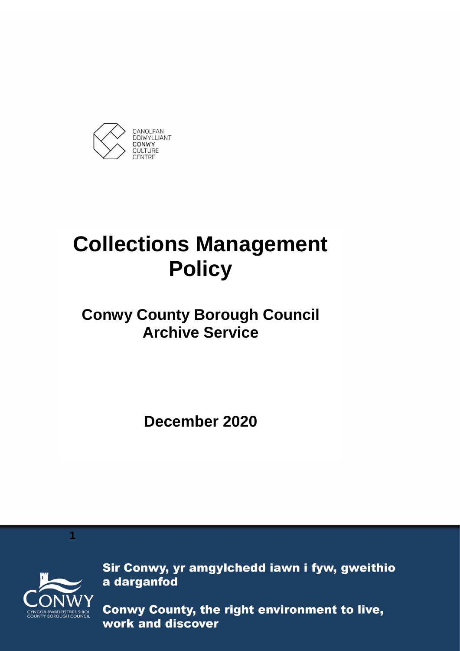

# **Collections Management Policy**

# **Conwy County Borough Council Archive Service**

**December 2020**



**1**

Sir Conwy, yr amgylchedd iawn i fyw, gweithio a darganfod

Conwy County, the right environment to live, work and discover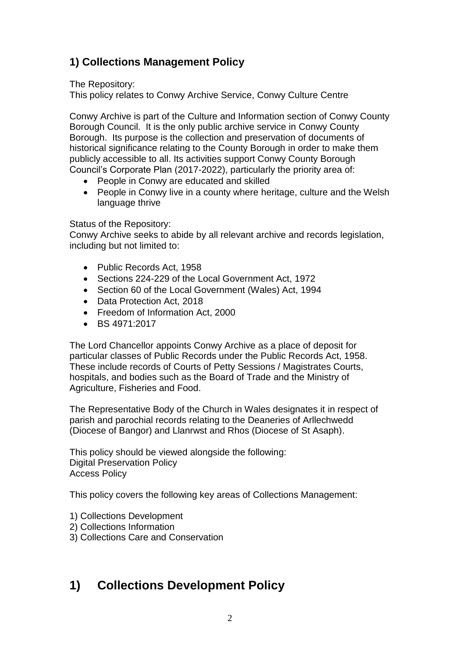### **1) Collections Management Policy**

The Repository:

This policy relates to Conwy Archive Service, Conwy Culture Centre

Conwy Archive is part of the Culture and Information section of Conwy County Borough Council. It is the only public archive service in Conwy County Borough. Its purpose is the collection and preservation of documents of historical significance relating to the County Borough in order to make them publicly accessible to all. Its activities support Conwy County Borough Council's Corporate Plan (2017-2022), particularly the priority area of:

- People in Conwy are educated and skilled
- People in Conwy live in a county where heritage, culture and the Welsh language thrive

#### Status of the Repository:

Conwy Archive seeks to abide by all relevant archive and records legislation, including but not limited to:

- Public Records Act, 1958
- Sections 224-229 of the Local Government Act, 1972
- Section 60 of the Local Government (Wales) Act, 1994
- Data Protection Act, 2018
- Freedom of Information Act, 2000
- $\bullet$  BS 4971:2017

The Lord Chancellor appoints Conwy Archive as a place of deposit for particular classes of Public Records under the Public Records Act, 1958. These include records of Courts of Petty Sessions / Magistrates Courts, hospitals, and bodies such as the Board of Trade and the Ministry of Agriculture, Fisheries and Food.

The Representative Body of the Church in Wales designates it in respect of parish and parochial records relating to the Deaneries of Arllechwedd (Diocese of Bangor) and Llanrwst and Rhos (Diocese of St Asaph).

This policy should be viewed alongside the following: Digital Preservation Policy Access Policy

This policy covers the following key areas of Collections Management:

- 1) Collections Development
- 2) Collections Information
- 3) Collections Care and Conservation

## **1) Collections Development Policy**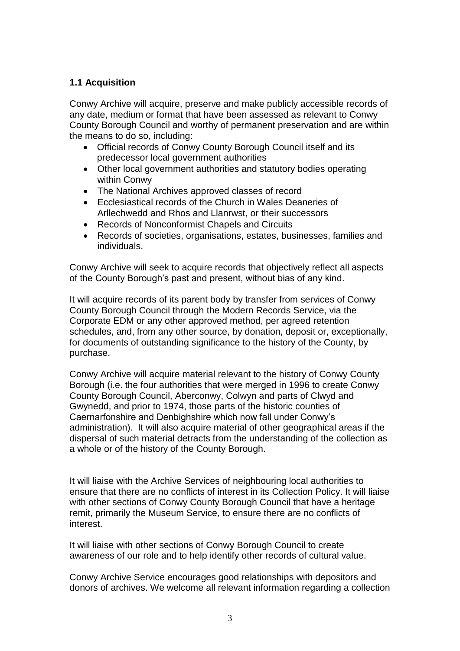#### **1.1 Acquisition**

Conwy Archive will acquire, preserve and make publicly accessible records of any date, medium or format that have been assessed as relevant to Conwy County Borough Council and worthy of permanent preservation and are within the means to do so, including:

- Official records of Conwy County Borough Council itself and its predecessor local government authorities
- Other local government authorities and statutory bodies operating within Conwy
- The National Archives approved classes of record
- Ecclesiastical records of the Church in Wales Deaneries of Arllechwedd and Rhos and Llanrwst, or their successors
- Records of Nonconformist Chapels and Circuits
- Records of societies, organisations, estates, businesses, families and individuals.

Conwy Archive will seek to acquire records that objectively reflect all aspects of the County Borough's past and present, without bias of any kind.

It will acquire records of its parent body by transfer from services of Conwy County Borough Council through the Modern Records Service, via the Corporate EDM or any other approved method, per agreed retention schedules, and, from any other source, by donation, deposit or, exceptionally, for documents of outstanding significance to the history of the County, by purchase.

Conwy Archive will acquire material relevant to the history of Conwy County Borough (i.e. the four authorities that were merged in 1996 to create Conwy County Borough Council, Aberconwy, Colwyn and parts of Clwyd and Gwynedd, and prior to 1974, those parts of the historic counties of Caernarfonshire and Denbighshire which now fall under Conwy's administration). It will also acquire material of other geographical areas if the dispersal of such material detracts from the understanding of the collection as a whole or of the history of the County Borough.

It will liaise with the Archive Services of neighbouring local authorities to ensure that there are no conflicts of interest in its Collection Policy. It will liaise with other sections of Conwy County Borough Council that have a heritage remit, primarily the Museum Service, to ensure there are no conflicts of interest.

It will liaise with other sections of Conwy Borough Council to create awareness of our role and to help identify other records of cultural value.

Conwy Archive Service encourages good relationships with depositors and donors of archives. We welcome all relevant information regarding a collection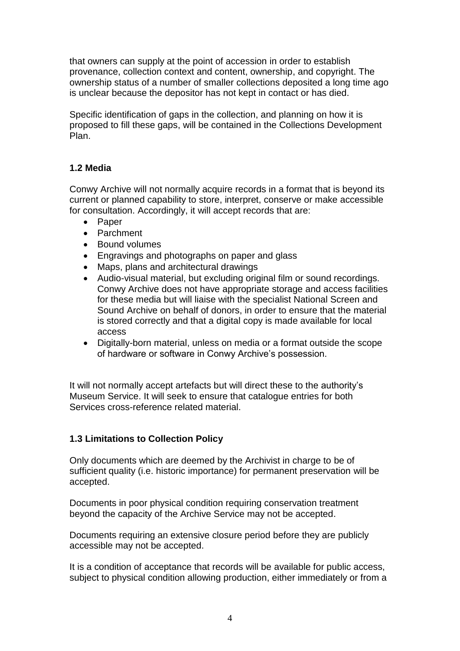that owners can supply at the point of accession in order to establish provenance, collection context and content, ownership, and copyright. The ownership status of a number of smaller collections deposited a long time ago is unclear because the depositor has not kept in contact or has died.

Specific identification of gaps in the collection, and planning on how it is proposed to fill these gaps, will be contained in the Collections Development Plan.

#### **1.2 Media**

Conwy Archive will not normally acquire records in a format that is beyond its current or planned capability to store, interpret, conserve or make accessible for consultation. Accordingly, it will accept records that are:

- Paper
- Parchment
- Bound volumes
- Engravings and photographs on paper and glass
- Maps, plans and architectural drawings
- Audio-visual material, but excluding original film or sound recordings. Conwy Archive does not have appropriate storage and access facilities for these media but will liaise with the specialist National Screen and Sound Archive on behalf of donors, in order to ensure that the material is stored correctly and that a digital copy is made available for local access
- Digitally-born material, unless on media or a format outside the scope of hardware or software in Conwy Archive's possession.

It will not normally accept artefacts but will direct these to the authority's Museum Service. It will seek to ensure that catalogue entries for both Services cross-reference related material.

#### **1.3 Limitations to Collection Policy**

Only documents which are deemed by the Archivist in charge to be of sufficient quality (i.e. historic importance) for permanent preservation will be accepted.

Documents in poor physical condition requiring conservation treatment beyond the capacity of the Archive Service may not be accepted.

Documents requiring an extensive closure period before they are publicly accessible may not be accepted.

It is a condition of acceptance that records will be available for public access, subject to physical condition allowing production, either immediately or from a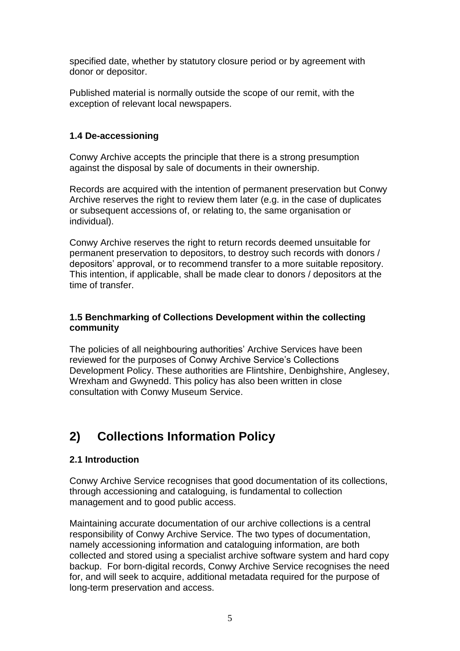specified date, whether by statutory closure period or by agreement with donor or depositor.

Published material is normally outside the scope of our remit, with the exception of relevant local newspapers.

#### **1.4 De-accessioning**

Conwy Archive accepts the principle that there is a strong presumption against the disposal by sale of documents in their ownership.

Records are acquired with the intention of permanent preservation but Conwy Archive reserves the right to review them later (e.g. in the case of duplicates or subsequent accessions of, or relating to, the same organisation or individual).

Conwy Archive reserves the right to return records deemed unsuitable for permanent preservation to depositors, to destroy such records with donors / depositors' approval, or to recommend transfer to a more suitable repository. This intention, if applicable, shall be made clear to donors / depositors at the time of transfer.

#### **1.5 Benchmarking of Collections Development within the collecting community**

The policies of all neighbouring authorities' Archive Services have been reviewed for the purposes of Conwy Archive Service's Collections Development Policy. These authorities are Flintshire, Denbighshire, Anglesey, Wrexham and Gwynedd. This policy has also been written in close consultation with Conwy Museum Service.

# **2) Collections Information Policy**

#### **2.1 Introduction**

Conwy Archive Service recognises that good documentation of its collections, through accessioning and cataloguing, is fundamental to collection management and to good public access.

Maintaining accurate documentation of our archive collections is a central responsibility of Conwy Archive Service. The two types of documentation, namely accessioning information and cataloguing information, are both collected and stored using a specialist archive software system and hard copy backup. For born-digital records, Conwy Archive Service recognises the need for, and will seek to acquire, additional metadata required for the purpose of long-term preservation and access.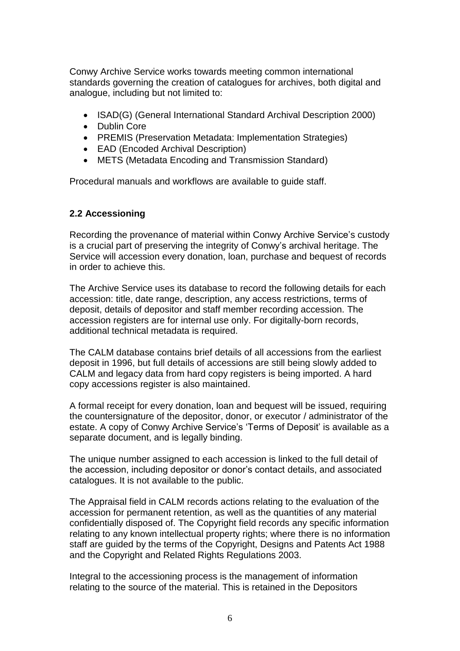Conwy Archive Service works towards meeting common international standards governing the creation of catalogues for archives, both digital and analogue, including but not limited to:

- ISAD(G) (General International Standard Archival Description 2000)
- Dublin Core
- PREMIS (Preservation Metadata: Implementation Strategies)
- EAD (Encoded Archival Description)
- METS (Metadata Encoding and Transmission Standard)

Procedural manuals and workflows are available to guide staff.

#### **2.2 Accessioning**

Recording the provenance of material within Conwy Archive Service's custody is a crucial part of preserving the integrity of Conwy's archival heritage. The Service will accession every donation, loan, purchase and bequest of records in order to achieve this.

The Archive Service uses its database to record the following details for each accession: title, date range, description, any access restrictions, terms of deposit, details of depositor and staff member recording accession. The accession registers are for internal use only. For digitally-born records, additional technical metadata is required.

The CALM database contains brief details of all accessions from the earliest deposit in 1996, but full details of accessions are still being slowly added to CALM and legacy data from hard copy registers is being imported. A hard copy accessions register is also maintained.

A formal receipt for every donation, loan and bequest will be issued, requiring the countersignature of the depositor, donor, or executor / administrator of the estate. A copy of Conwy Archive Service's 'Terms of Deposit' is available as a separate document, and is legally binding.

The unique number assigned to each accession is linked to the full detail of the accession, including depositor or donor's contact details, and associated catalogues. It is not available to the public.

The Appraisal field in CALM records actions relating to the evaluation of the accession for permanent retention, as well as the quantities of any material confidentially disposed of. The Copyright field records any specific information relating to any known intellectual property rights; where there is no information staff are guided by the terms of the Copyright, Designs and Patents Act 1988 and the Copyright and Related Rights Regulations 2003.

Integral to the accessioning process is the management of information relating to the source of the material. This is retained in the Depositors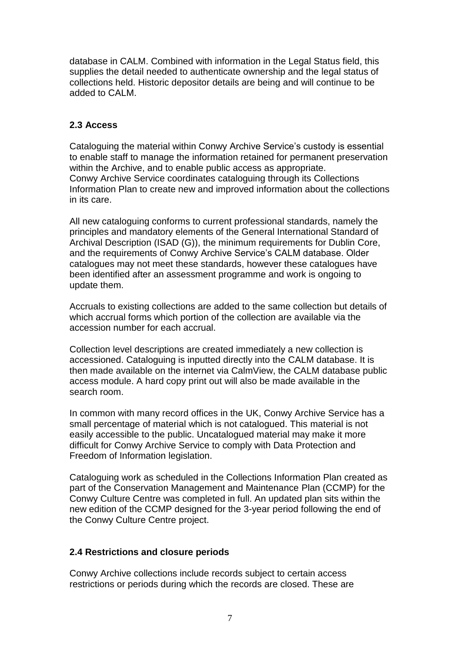database in CALM. Combined with information in the Legal Status field, this supplies the detail needed to authenticate ownership and the legal status of collections held. Historic depositor details are being and will continue to be added to CALM.

#### **2.3 Access**

Cataloguing the material within Conwy Archive Service's custody is essential to enable staff to manage the information retained for permanent preservation within the Archive, and to enable public access as appropriate. Conwy Archive Service coordinates cataloguing through its Collections Information Plan to create new and improved information about the collections in its care.

All new cataloguing conforms to current professional standards, namely the principles and mandatory elements of the General International Standard of Archival Description (ISAD (G)), the minimum requirements for Dublin Core, and the requirements of Conwy Archive Service's CALM database. Older catalogues may not meet these standards, however these catalogues have been identified after an assessment programme and work is ongoing to update them.

Accruals to existing collections are added to the same collection but details of which accrual forms which portion of the collection are available via the accession number for each accrual.

Collection level descriptions are created immediately a new collection is accessioned. Cataloguing is inputted directly into the CALM database. It is then made available on the internet via CalmView, the CALM database public access module. A hard copy print out will also be made available in the search room.

In common with many record offices in the UK, Conwy Archive Service has a small percentage of material which is not catalogued. This material is not easily accessible to the public. Uncatalogued material may make it more difficult for Conwy Archive Service to comply with Data Protection and Freedom of Information legislation.

Cataloguing work as scheduled in the Collections Information Plan created as part of the Conservation Management and Maintenance Plan (CCMP) for the Conwy Culture Centre was completed in full. An updated plan sits within the new edition of the CCMP designed for the 3-year period following the end of the Conwy Culture Centre project.

#### **2.4 Restrictions and closure periods**

Conwy Archive collections include records subject to certain access restrictions or periods during which the records are closed. These are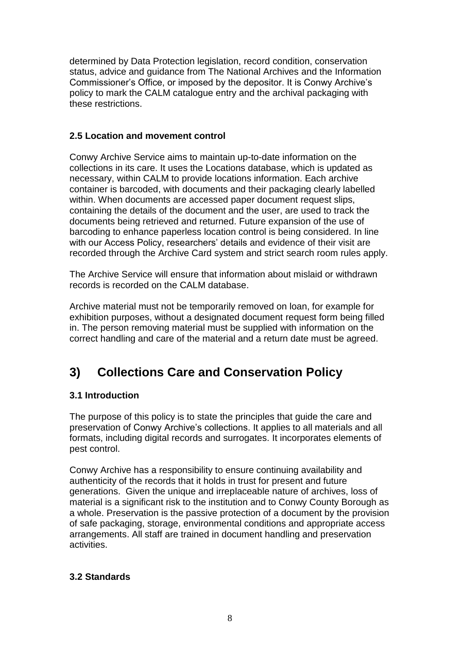determined by Data Protection legislation, record condition, conservation status, advice and guidance from The National Archives and the Information Commissioner's Office, or imposed by the depositor. It is Conwy Archive's policy to mark the CALM catalogue entry and the archival packaging with these restrictions.

#### **2.5 Location and movement control**

Conwy Archive Service aims to maintain up-to-date information on the collections in its care. It uses the Locations database, which is updated as necessary, within CALM to provide locations information. Each archive container is barcoded, with documents and their packaging clearly labelled within. When documents are accessed paper document request slips, containing the details of the document and the user, are used to track the documents being retrieved and returned. Future expansion of the use of barcoding to enhance paperless location control is being considered. In line with our Access Policy, researchers' details and evidence of their visit are recorded through the Archive Card system and strict search room rules apply.

The Archive Service will ensure that information about mislaid or withdrawn records is recorded on the CALM database.

Archive material must not be temporarily removed on loan, for example for exhibition purposes, without a designated document request form being filled in. The person removing material must be supplied with information on the correct handling and care of the material and a return date must be agreed.

# **3) Collections Care and Conservation Policy**

#### **3.1 Introduction**

The purpose of this policy is to state the principles that guide the care and preservation of Conwy Archive's collections. It applies to all materials and all formats, including digital records and surrogates. It incorporates elements of pest control.

Conwy Archive has a responsibility to ensure continuing availability and authenticity of the records that it holds in trust for present and future generations. Given the unique and irreplaceable nature of archives, loss of material is a significant risk to the institution and to Conwy County Borough as a whole. Preservation is the passive protection of a document by the provision of safe packaging, storage, environmental conditions and appropriate access arrangements. All staff are trained in document handling and preservation activities.

#### **3.2 Standards**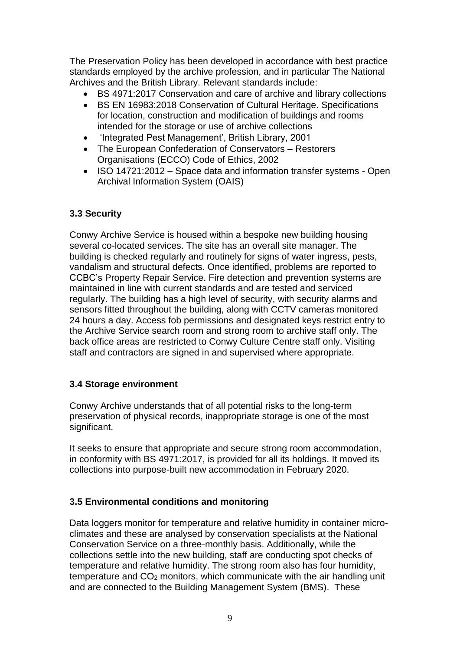The Preservation Policy has been developed in accordance with best practice standards employed by the archive profession, and in particular The National Archives and the British Library. Relevant standards include:

- BS 4971:2017 Conservation and care of archive and library collections
- BS EN 16983:2018 Conservation of Cultural Heritage. Specifications for location, construction and modification of buildings and rooms intended for the storage or use of archive collections
- 'Integrated Pest Management', British Library, 2001
- The European Confederation of Conservators Restorers Organisations (ECCO) Code of Ethics, 2002
- ISO 14721:2012 Space data and information transfer systems Open Archival Information System (OAIS)

#### **3.3 Security**

Conwy Archive Service is housed within a bespoke new building housing several co-located services. The site has an overall site manager. The building is checked regularly and routinely for signs of water ingress, pests, vandalism and structural defects. Once identified, problems are reported to CCBC's Property Repair Service. Fire detection and prevention systems are maintained in line with current standards and are tested and serviced regularly. The building has a high level of security, with security alarms and sensors fitted throughout the building, along with CCTV cameras monitored 24 hours a day. Access fob permissions and designated keys restrict entry to the Archive Service search room and strong room to archive staff only. The back office areas are restricted to Conwy Culture Centre staff only. Visiting staff and contractors are signed in and supervised where appropriate.

#### **3.4 Storage environment**

Conwy Archive understands that of all potential risks to the long-term preservation of physical records, inappropriate storage is one of the most significant.

It seeks to ensure that appropriate and secure strong room accommodation, in conformity with BS 4971:2017, is provided for all its holdings. It moved its collections into purpose-built new accommodation in February 2020.

#### **3.5 Environmental conditions and monitoring**

Data loggers monitor for temperature and relative humidity in container microclimates and these are analysed by conservation specialists at the National Conservation Service on a three-monthly basis. Additionally, while the collections settle into the new building, staff are conducting spot checks of temperature and relative humidity. The strong room also has four humidity, temperature and CO<sub>2</sub> monitors, which communicate with the air handling unit and are connected to the Building Management System (BMS). These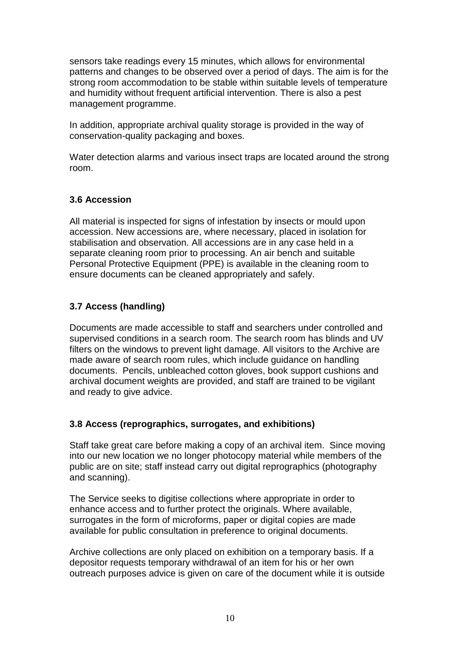sensors take readings every 15 minutes, which allows for environmental patterns and changes to be observed over a period of days. The aim is for the strong room accommodation to be stable within suitable levels of temperature and humidity without frequent artificial intervention. There is also a pest management programme.

In addition, appropriate archival quality storage is provided in the way of conservation-quality packaging and boxes.

Water detection alarms and various insect traps are located around the strong room.

#### **3.6 Accession**

All material is inspected for signs of infestation by insects or mould upon accession. New accessions are, where necessary, placed in isolation for stabilisation and observation. All accessions are in any case held in a separate cleaning room prior to processing. An air bench and suitable Personal Protective Equipment (PPE) is available in the cleaning room to ensure documents can be cleaned appropriately and safely.

#### **3.7 Access (handling)**

Documents are made accessible to staff and searchers under controlled and supervised conditions in a search room. The search room has blinds and UV filters on the windows to prevent light damage. All visitors to the Archive are made aware of search room rules, which include guidance on handling documents. Pencils, unbleached cotton gloves, book support cushions and archival document weights are provided, and staff are trained to be vigilant and ready to give advice.

#### **3.8 Access (reprographics, surrogates, and exhibitions)**

Staff take great care before making a copy of an archival item. Since moving into our new location we no longer photocopy material while members of the public are on site; staff instead carry out digital reprographics (photography and scanning).

The Service seeks to digitise collections where appropriate in order to enhance access and to further protect the originals. Where available, surrogates in the form of microforms, paper or digital copies are made available for public consultation in preference to original documents.

Archive collections are only placed on exhibition on a temporary basis. If a depositor requests temporary withdrawal of an item for his or her own outreach purposes advice is given on care of the document while it is outside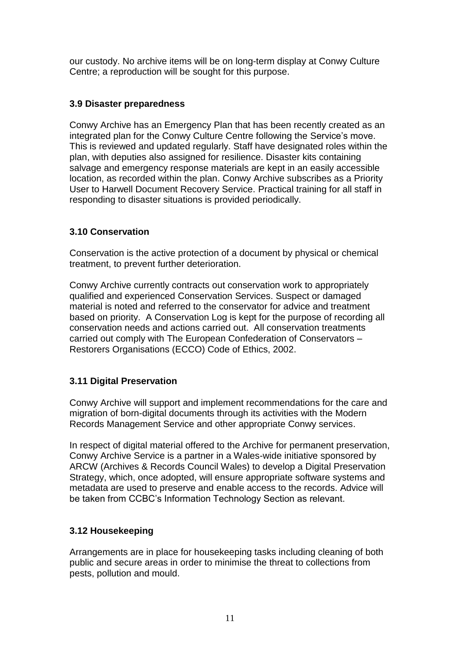our custody. No archive items will be on long-term display at Conwy Culture Centre; a reproduction will be sought for this purpose.

#### **3.9 Disaster preparedness**

Conwy Archive has an Emergency Plan that has been recently created as an integrated plan for the Conwy Culture Centre following the Service's move. This is reviewed and updated regularly. Staff have designated roles within the plan, with deputies also assigned for resilience. Disaster kits containing salvage and emergency response materials are kept in an easily accessible location, as recorded within the plan. Conwy Archive subscribes as a Priority User to Harwell Document Recovery Service. Practical training for all staff in responding to disaster situations is provided periodically.

#### **3.10 Conservation**

Conservation is the active protection of a document by physical or chemical treatment, to prevent further deterioration.

Conwy Archive currently contracts out conservation work to appropriately qualified and experienced Conservation Services. Suspect or damaged material is noted and referred to the conservator for advice and treatment based on priority. A Conservation Log is kept for the purpose of recording all conservation needs and actions carried out. All conservation treatments carried out comply with The European Confederation of Conservators – Restorers Organisations (ECCO) Code of Ethics, 2002.

#### **3.11 Digital Preservation**

Conwy Archive will support and implement recommendations for the care and migration of born-digital documents through its activities with the Modern Records Management Service and other appropriate Conwy services.

In respect of digital material offered to the Archive for permanent preservation, Conwy Archive Service is a partner in a Wales-wide initiative sponsored by ARCW (Archives & Records Council Wales) to develop a Digital Preservation Strategy, which, once adopted, will ensure appropriate software systems and metadata are used to preserve and enable access to the records. Advice will be taken from CCBC's Information Technology Section as relevant.

#### **3.12 Housekeeping**

Arrangements are in place for housekeeping tasks including cleaning of both public and secure areas in order to minimise the threat to collections from pests, pollution and mould.